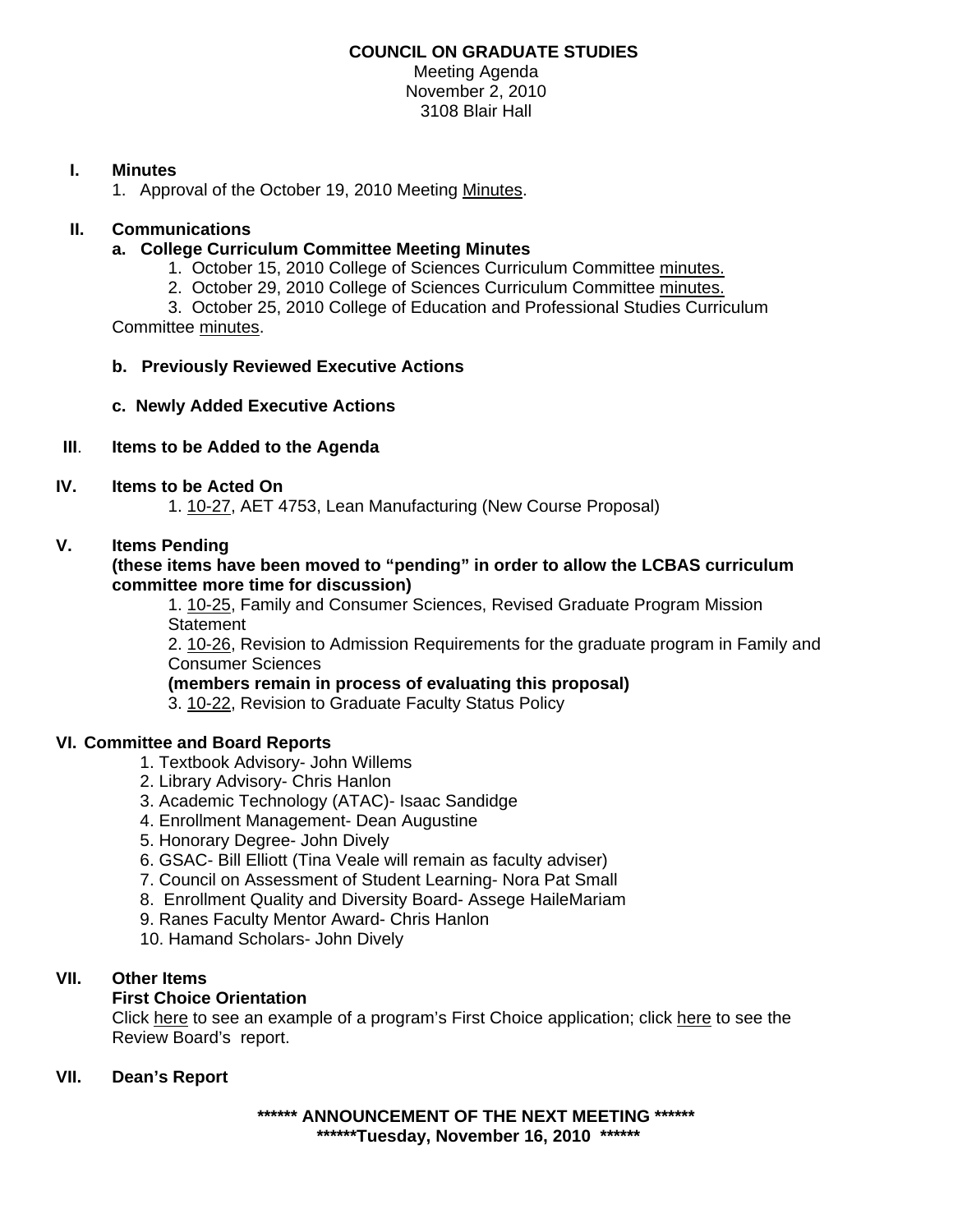#### **COUNCIL ON GRADUATE STUDIES**  Meeting Agenda

November 2, 2010 3108 Blair Hall

## **I. Minutes**

1. Approval of the October 19, 2010 Meetin[g Minutes.](http://castle.eiu.edu/~eiucgs/currentminutes/Minutes10-19-10.pdf) 

### **II. Communications**

### **a. College Curriculum Committee Meeting Minutes**

- 1. October 15, 2010 College of Sciences Curriculum Committee [minutes.](http://castle.eiu.edu/~eiucgs/currentagendaitems/COSMin10-15-10.pdf)
- 2. October 29, 2010 College of Sciences Curriculum Committe[e minutes.](http://castle.eiu.edu/~eiucgs/currentagendaitems/COSMin10-29-10.pdf)

 3. October 25, 2010 College of Education and Professional Studies Curriculum Committe[e minutes.](http://castle.eiu.edu/~eiucgs/currentagendaitems/CEPSMin10-25-10.pdf) 

#### **b. Previously Reviewed Executive Actions**

**c. Newly Added Executive Actions** 

## **III**. **Items to be Added to the Agenda**

#### **IV. Items to be Acted On**

[1. 10-27, A](http://www.eiu.edu/~eiucgs/currentagendaitems/agenda10-27.pdf)ET 4753, Lean Manufacturing (New Course Proposal)

### **V. Items Pending**

#### **(these items have been moved to "pending" in order to allow the LCBAS curriculum committee more time for discussion)**

1. [10-25,](http://www.eiu.edu/~eiucgs/currentagendaitems/agenda10-25.pdf) Family and Consumer Sciences, Revised Graduate Program Mission **Statement** 

2[. 10-26, R](http://www.eiu.edu/~eiucgs/currentagendaitems/agenda10-26.pdf)evision to Admission Requirements for the graduate program in Family and Consumer Sciences

**(members remain in process of evaluating this proposal)** 

3. [10-22, R](http://www.eiu.edu/~eiucgs/currentagendaitems/agenda10-22.pdf)evision to Graduate Faculty Status Policy

#### **VI. Committee and Board Reports**

- 1. Textbook Advisory- John Willems
- 2. Library Advisory- Chris Hanlon
- 3. Academic Technology (ATAC)- Isaac Sandidge
- 4. Enrollment Management- Dean Augustine
- 5. Honorary Degree- John Dively
- 6. GSAC- Bill Elliott (Tina Veale will remain as faculty adviser)
- 7. Council on Assessment of Student Learning- Nora Pat Small
- 8. Enrollment Quality and Diversity Board- Assege HaileMariam
- 9. Ranes Faculty Mentor Award- Chris Hanlon
- 10. Hamand Scholars- John Dively

## **VII. Other Items**

#### **First Choice Orientation**

Cli[ck here t](http://castle.eiu.edu/~eiucgs/firstchoice/BioSci.pdf)o see an example of a program's First Choice application; click [here t](http://castle.eiu.edu/~eiucgs/firstchoice/BIO-boardreport.pdf)o see the Review Board's report.

## **VII. Dean's Report**

**\*\*\*\*\*\* ANNOUNCEMENT OF THE NEXT MEETING \*\*\*\*\*\* \*\*\*\*\*\*Tuesday, November 16, 2010 \*\*\*\*\*\***